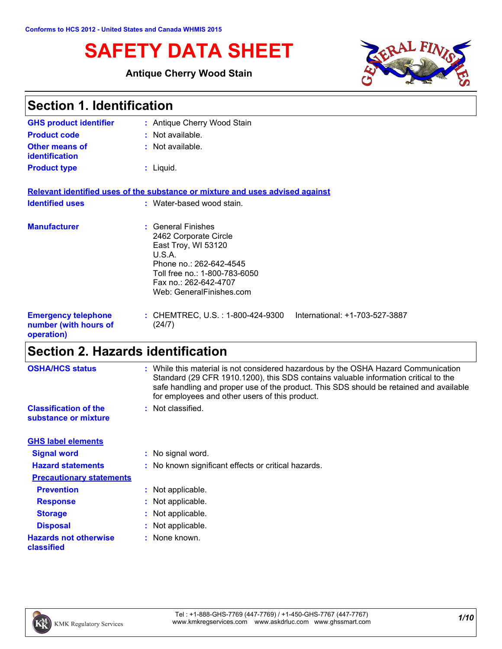# **SAFETY DATA SHEET**

### **Antique Cherry Wood Stain**



| <b>Section 1. Identification</b>                                  |                                                                                                                                                                                               |  |
|-------------------------------------------------------------------|-----------------------------------------------------------------------------------------------------------------------------------------------------------------------------------------------|--|
| <b>GHS product identifier</b>                                     | : Antique Cherry Wood Stain                                                                                                                                                                   |  |
| <b>Product code</b>                                               | : Not available.                                                                                                                                                                              |  |
| <b>Other means of</b><br><b>identification</b>                    | : Not available.                                                                                                                                                                              |  |
| <b>Product type</b>                                               | $:$ Liquid.                                                                                                                                                                                   |  |
|                                                                   | Relevant identified uses of the substance or mixture and uses advised against                                                                                                                 |  |
| <b>Identified uses</b>                                            | : Water-based wood stain.                                                                                                                                                                     |  |
| <b>Manufacturer</b>                                               | : General Finishes<br>2462 Corporate Circle<br>East Troy, WI 53120<br>U.S.A.<br>Phone no.: 262-642-4545<br>Toll free no.: 1-800-783-6050<br>Fax no.: 262-642-4707<br>Web: GeneralFinishes.com |  |
| <b>Emergency telephone</b><br>number (with hours of<br>operation) | : CHEMTREC, U.S. : 1-800-424-9300<br>International: +1-703-527-3887<br>(24/7)                                                                                                                 |  |

# **Section 2. Hazards identification**

| <b>OSHA/HCS status</b>                               | : While this material is not considered hazardous by the OSHA Hazard Communication<br>Standard (29 CFR 1910.1200), this SDS contains valuable information critical to the<br>safe handling and proper use of the product. This SDS should be retained and available |
|------------------------------------------------------|---------------------------------------------------------------------------------------------------------------------------------------------------------------------------------------------------------------------------------------------------------------------|
|                                                      | for employees and other users of this product.                                                                                                                                                                                                                      |
| <b>Classification of the</b><br>substance or mixture | : Not classified.                                                                                                                                                                                                                                                   |
| <b>GHS label elements</b>                            |                                                                                                                                                                                                                                                                     |
| <b>Signal word</b>                                   | : No signal word.                                                                                                                                                                                                                                                   |
| <b>Hazard statements</b>                             | : No known significant effects or critical hazards.                                                                                                                                                                                                                 |
| <b>Precautionary statements</b>                      |                                                                                                                                                                                                                                                                     |
| <b>Prevention</b>                                    | : Not applicable.                                                                                                                                                                                                                                                   |
| <b>Response</b>                                      | : Not applicable.                                                                                                                                                                                                                                                   |
| <b>Storage</b>                                       | : Not applicable.                                                                                                                                                                                                                                                   |
| <b>Disposal</b>                                      | : Not applicable.                                                                                                                                                                                                                                                   |
| <b>Hazards not otherwise</b><br>classified           | : None known.                                                                                                                                                                                                                                                       |

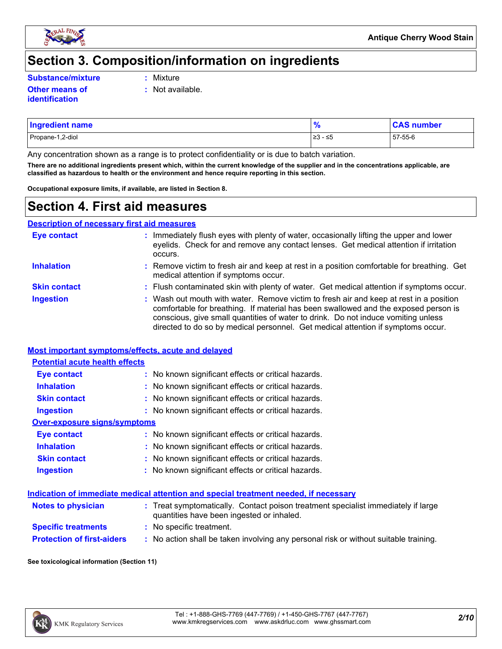

### **Section 3. Composition/information on ingredients**

**Substance/mixture :**

Mixture

**:** Not available.

**Other means of identification**

| <b>Ingredient name</b> | $\bullet$          | number  |
|------------------------|--------------------|---------|
| Propane-1,2-diol       | ≥3<br>۔<br>س د - ∵ | 57-55-6 |

Any concentration shown as a range is to protect confidentiality or is due to batch variation.

**There are no additional ingredients present which, within the current knowledge of the supplier and in the concentrations applicable, are classified as hazardous to health or the environment and hence require reporting in this section.**

**Occupational exposure limits, if available, are listed in Section 8.**

### **Section 4. First aid measures**

**Description of necessary first aid measures**

| <b>Eye contact</b>  | : Immediately flush eyes with plenty of water, occasionally lifting the upper and lower<br>eyelids. Check for and remove any contact lenses. Get medical attention if irritation<br>occurs.                                                                                                                                                            |
|---------------------|--------------------------------------------------------------------------------------------------------------------------------------------------------------------------------------------------------------------------------------------------------------------------------------------------------------------------------------------------------|
| <b>Inhalation</b>   | : Remove victim to fresh air and keep at rest in a position comfortable for breathing. Get<br>medical attention if symptoms occur.                                                                                                                                                                                                                     |
| <b>Skin contact</b> | : Flush contaminated skin with plenty of water. Get medical attention if symptoms occur.                                                                                                                                                                                                                                                               |
| <b>Ingestion</b>    | : Wash out mouth with water. Remove victim to fresh air and keep at rest in a position<br>comfortable for breathing. If material has been swallowed and the exposed person is<br>conscious, give small quantities of water to drink. Do not induce vomiting unless<br>directed to do so by medical personnel. Get medical attention if symptoms occur. |

#### **Most important symptoms/effects, acute and delayed**

| <b>Potential acute health effects</b> |                                                     |
|---------------------------------------|-----------------------------------------------------|
| <b>Eye contact</b>                    | : No known significant effects or critical hazards. |
| <b>Inhalation</b>                     | : No known significant effects or critical hazards. |
| <b>Skin contact</b>                   | : No known significant effects or critical hazards. |
| Ingestion                             | : No known significant effects or critical hazards. |
| Over-exposure signs/symptoms          |                                                     |
| Eye contact                           | : No known significant effects or critical hazards. |
| <b>Inhalation</b>                     | : No known significant effects or critical hazards. |
| <b>Skin contact</b>                   | : No known significant effects or critical hazards. |
| <b>Ingestion</b>                      | : No known significant effects or critical hazards. |

#### **Indication of immediate medical attention and special treatment needed, if necessary**

| <b>Notes to physician</b>         | : Treat symptomatically. Contact poison treatment specialist immediately if large<br>quantities have been ingested or inhaled. |
|-----------------------------------|--------------------------------------------------------------------------------------------------------------------------------|
| <b>Specific treatments</b>        | : No specific treatment.                                                                                                       |
| <b>Protection of first-aiders</b> | No action shall be taken involving any personal risk or without suitable training.                                             |

#### **See toxicological information (Section 11)**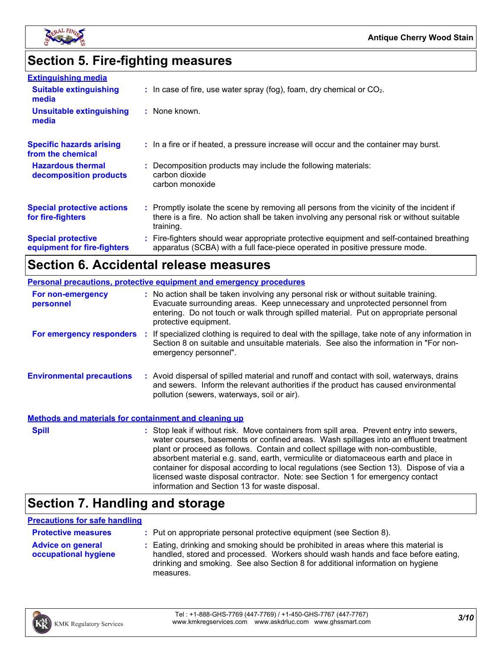

# **Section 5. Fire-fighting measures**

| <b>Extinguishing media</b>                               |                                                                                                                                                                                                     |
|----------------------------------------------------------|-----------------------------------------------------------------------------------------------------------------------------------------------------------------------------------------------------|
| <b>Suitable extinguishing</b><br>media                   | $\therefore$ In case of fire, use water spray (fog), foam, dry chemical or CO <sub>2</sub> .                                                                                                        |
| <b>Unsuitable extinguishing</b><br>media                 | : None known.                                                                                                                                                                                       |
| <b>Specific hazards arising</b><br>from the chemical     | : In a fire or if heated, a pressure increase will occur and the container may burst.                                                                                                               |
| <b>Hazardous thermal</b><br>decomposition products       | : Decomposition products may include the following materials:<br>carbon dioxide<br>carbon monoxide                                                                                                  |
| <b>Special protective actions</b><br>for fire-fighters   | : Promptly isolate the scene by removing all persons from the vicinity of the incident if<br>there is a fire. No action shall be taken involving any personal risk or without suitable<br>training. |
| <b>Special protective</b><br>equipment for fire-fighters | : Fire-fighters should wear appropriate protective equipment and self-contained breathing<br>apparatus (SCBA) with a full face-piece operated in positive pressure mode.                            |

### **Section 6. Accidental release measures**

|                                                              | <b>Personal precautions, protective equipment and emergency procedures</b>                                                                                                                                                                                                                                                                                                                                                                                                                                                                                                                 |
|--------------------------------------------------------------|--------------------------------------------------------------------------------------------------------------------------------------------------------------------------------------------------------------------------------------------------------------------------------------------------------------------------------------------------------------------------------------------------------------------------------------------------------------------------------------------------------------------------------------------------------------------------------------------|
| For non-emergency<br>personnel                               | : No action shall be taken involving any personal risk or without suitable training.<br>Evacuate surrounding areas. Keep unnecessary and unprotected personnel from<br>entering. Do not touch or walk through spilled material. Put on appropriate personal<br>protective equipment.                                                                                                                                                                                                                                                                                                       |
|                                                              | For emergency responders : If specialized clothing is required to deal with the spillage, take note of any information in<br>Section 8 on suitable and unsuitable materials. See also the information in "For non-<br>emergency personnel".                                                                                                                                                                                                                                                                                                                                                |
| <b>Environmental precautions</b>                             | : Avoid dispersal of spilled material and runoff and contact with soil, waterways, drains<br>and sewers. Inform the relevant authorities if the product has caused environmental<br>pollution (sewers, waterways, soil or air).                                                                                                                                                                                                                                                                                                                                                            |
| <b>Methods and materials for containment and cleaning up</b> |                                                                                                                                                                                                                                                                                                                                                                                                                                                                                                                                                                                            |
| <b>Spill</b>                                                 | : Stop leak if without risk. Move containers from spill area. Prevent entry into sewers,<br>water courses, basements or confined areas. Wash spillages into an effluent treatment<br>plant or proceed as follows. Contain and collect spillage with non-combustible,<br>absorbent material e.g. sand, earth, vermiculite or diatomaceous earth and place in<br>container for disposal according to local regulations (see Section 13). Dispose of via a<br>licensed waste disposal contractor. Note: see Section 1 for emergency contact<br>information and Section 13 for waste disposal. |

# **Section 7. Handling and storage**

#### **Precautions for safe handling**

| <b>Protective measures</b>                       | : Put on appropriate personal protective equipment (see Section 8).                                                                                                                                                                                                    |
|--------------------------------------------------|------------------------------------------------------------------------------------------------------------------------------------------------------------------------------------------------------------------------------------------------------------------------|
| <b>Advice on general</b><br>occupational hygiene | : Eating, drinking and smoking should be prohibited in areas where this material is<br>handled, stored and processed. Workers should wash hands and face before eating,<br>drinking and smoking. See also Section 8 for additional information on hygiene<br>measures. |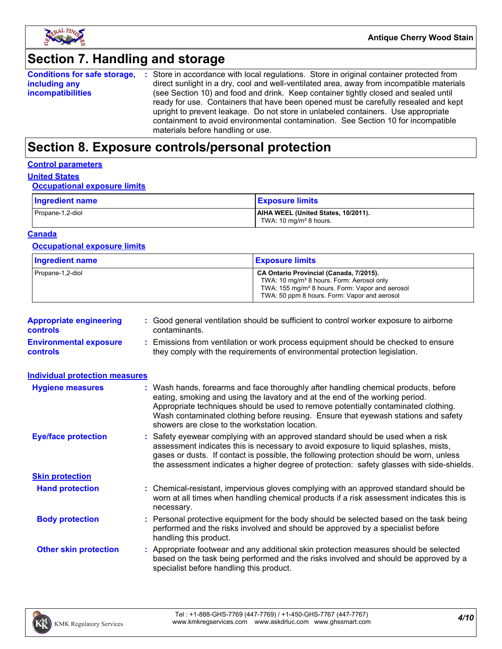

# **Section 7. Handling and storage**

|                          | <b>Conditions for safe storage, :</b> Store in accordance with local regulations. Store in original container protected from |
|--------------------------|------------------------------------------------------------------------------------------------------------------------------|
| including any            | direct sunlight in a dry, cool and well-ventilated area, away from incompatible materials                                    |
| <i>incompatibilities</i> | (see Section 10) and food and drink. Keep container tightly closed and sealed until                                          |
|                          | ready for use. Containers that have been opened must be carefully resealed and kept                                          |
|                          | upright to prevent leakage. Do not store in unlabeled containers. Use appropriate                                            |
|                          | containment to avoid environmental contamination. See Section 10 for incompatible                                            |
|                          | materials before handling or use.                                                                                            |

# **Section 8. Exposure controls/personal protection**

#### **Control parameters**

### **United States**

#### **Occupational exposure limits**

| Ingredient name  | <b>Exposure limits</b>                                                    |
|------------------|---------------------------------------------------------------------------|
| Propane-1,2-diol | AIHA WEEL (United States, 10/2011).<br>TWA: 10 mg/m <sup>3</sup> 8 hours. |

#### **Canada**

#### **Occupational exposure limits**

| <b>Ingredient name</b> | <b>Exposure limits</b>                                                                                                                                                                                          |
|------------------------|-----------------------------------------------------------------------------------------------------------------------------------------------------------------------------------------------------------------|
| Propane-1,2-diol       | CA Ontario Provincial (Canada, 7/2015).<br>TWA: 10 mg/m <sup>3</sup> 8 hours. Form: Aerosol only<br>TWA: 155 mg/m <sup>3</sup> 8 hours. Form: Vapor and aerosol<br>TWA: 50 ppm 8 hours. Form: Vapor and aerosol |

| <b>Appropriate engineering</b><br><b>controls</b> | : Good general ventilation should be sufficient to control worker exposure to airborne<br>contaminants.                                                          |
|---------------------------------------------------|------------------------------------------------------------------------------------------------------------------------------------------------------------------|
| <b>Environmental exposure</b><br><b>controls</b>  | : Emissions from ventilation or work process equipment should be checked to ensure<br>they comply with the requirements of environmental protection legislation. |

| <b>Individual protection measures</b> |                                                                                                                                                                                                                                                                                                                                                                                                   |
|---------------------------------------|---------------------------------------------------------------------------------------------------------------------------------------------------------------------------------------------------------------------------------------------------------------------------------------------------------------------------------------------------------------------------------------------------|
| <b>Hygiene measures</b>               | : Wash hands, forearms and face thoroughly after handling chemical products, before<br>eating, smoking and using the lavatory and at the end of the working period.<br>Appropriate techniques should be used to remove potentially contaminated clothing.<br>Wash contaminated clothing before reusing. Ensure that eyewash stations and safety<br>showers are close to the workstation location. |
| <b>Eye/face protection</b>            | : Safety eyewear complying with an approved standard should be used when a risk<br>assessment indicates this is necessary to avoid exposure to liquid splashes, mists,<br>gases or dusts. If contact is possible, the following protection should be worn, unless<br>the assessment indicates a higher degree of protection: safety glasses with side-shields.                                    |
| <b>Skin protection</b>                |                                                                                                                                                                                                                                                                                                                                                                                                   |
| <b>Hand protection</b>                | : Chemical-resistant, impervious gloves complying with an approved standard should be<br>worn at all times when handling chemical products if a risk assessment indicates this is<br>necessary.                                                                                                                                                                                                   |
| <b>Body protection</b>                | : Personal protective equipment for the body should be selected based on the task being<br>performed and the risks involved and should be approved by a specialist before<br>handling this product.                                                                                                                                                                                               |
| <b>Other skin protection</b>          | : Appropriate footwear and any additional skin protection measures should be selected<br>based on the task being performed and the risks involved and should be approved by a<br>specialist before handling this product.                                                                                                                                                                         |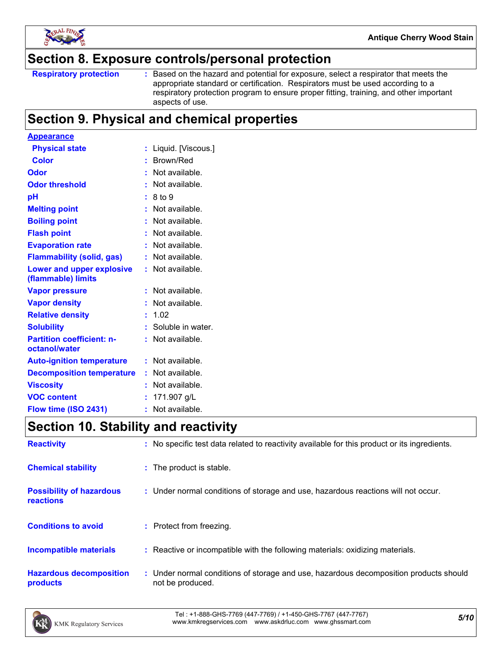

### **Section 8. Exposure controls/personal protection**

Based on the hazard and potential for exposure, select a respirator that meets the appropriate standard or certification. Respirators must be used according to a respiratory protection program to ensure proper fitting, training, and other important aspects of use.

# **Section 9. Physical and chemical properties**

| <b>Appearance</b>                                 |   |                     |
|---------------------------------------------------|---|---------------------|
| <b>Physical state</b>                             |   | Liquid. [Viscous.]  |
| <b>Color</b>                                      |   | Brown/Red           |
| Odor                                              |   | Not available.      |
| <b>Odor threshold</b>                             |   | Not available.      |
| рH                                                |   | 8 to 9              |
| <b>Melting point</b>                              |   | Not available.      |
| <b>Boiling point</b>                              |   | Not available.      |
| <b>Flash point</b>                                |   | Not available.      |
| <b>Evaporation rate</b>                           |   | Not available.      |
| <b>Flammability (solid, gas)</b>                  |   | Not available.      |
| Lower and upper explosive<br>(flammable) limits   |   | Not available.      |
| <b>Vapor pressure</b>                             |   | Not available.      |
| <b>Vapor density</b>                              |   | Not available.      |
| <b>Relative density</b>                           |   | 1.02                |
| <b>Solubility</b>                                 |   | : Soluble in water. |
| <b>Partition coefficient: n-</b><br>octanol/water |   | Not available.      |
| <b>Auto-ignition temperature</b>                  |   | Not available.      |
| <b>Decomposition temperature</b>                  |   | Not available.      |
| <b>Viscosity</b>                                  |   | Not available.      |
| <b>VOC content</b>                                |   | 171.907 g/L         |
| Flow time (ISO 2431)                              | ÷ | Not available.      |

# **Section 10. Stability and reactivity**

| <b>Reactivity</b>                            | : No specific test data related to reactivity available for this product or its ingredients.              |
|----------------------------------------------|-----------------------------------------------------------------------------------------------------------|
| <b>Chemical stability</b>                    | : The product is stable.                                                                                  |
| <b>Possibility of hazardous</b><br>reactions | : Under normal conditions of storage and use, hazardous reactions will not occur.                         |
| <b>Conditions to avoid</b>                   | : Protect from freezing.                                                                                  |
| <b>Incompatible materials</b>                | : Reactive or incompatible with the following materials: oxidizing materials.                             |
| <b>Hazardous decomposition</b><br>products   | : Under normal conditions of storage and use, hazardous decomposition products should<br>not be produced. |

*5/10* Tel : +1-888-GHS-7769 (447-7769) / +1-450-GHS-7767 (447-7767) www.kmkregservices.com www.askdrluc.com www.ghssmart.com

**Respiratory protection :**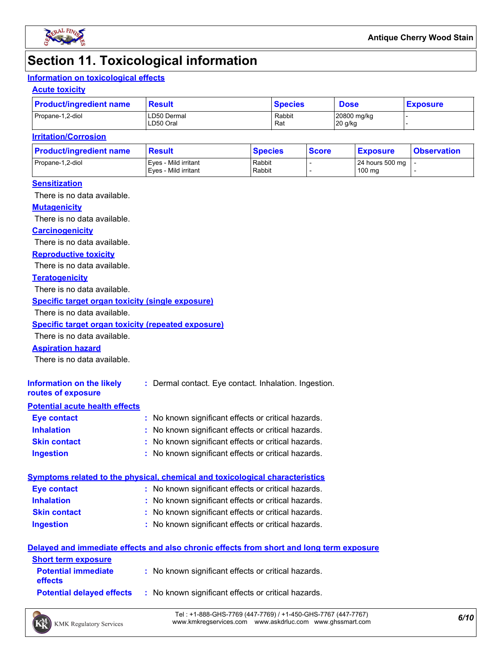

### **Section 11. Toxicological information**

### **Information on toxicological effects**

#### **Acute toxicity**

| <b>Product/ingredient name</b> | Result                   | <b>Species</b> | <b>Dose</b>            | <b>Exposure</b> |  |
|--------------------------------|--------------------------|----------------|------------------------|-----------------|--|
| Propane-1,2-diol               | LD50 Dermal<br>LD50 Oral | Rabbit<br>Rat  | 20800 mg/kg<br>20 g/kg |                 |  |

#### **Irritation/Corrosion**

| <b>Product/ingredient name</b> | <b>Result</b>                                | <b>Species</b>   | <b>Score</b> | <u>  Exposure</u>         | <b>Observation</b> |
|--------------------------------|----------------------------------------------|------------------|--------------|---------------------------|--------------------|
| Propane-1,2-diol               | Eves - Mild irritant<br>Eves - Mild irritant | Rabbit<br>Rabbit |              | 24 hours 500 mg<br>100 mg |                    |
|                                |                                              |                  |              |                           |                    |

#### **Sensitization**

There is no data available.

#### **Mutagenicity**

There is no data available.

#### **Carcinogenicity**

There is no data available.

#### **Reproductive toxicity**

There is no data available.

#### **Teratogenicity**

There is no data available.

#### **Specific target organ toxicity (single exposure)**

There is no data available.

#### **Specific target organ toxicity (repeated exposure)**

There is no data available.

#### **Aspiration hazard**

There is no data available.

| Information on the likely<br>routes of exposure | : Dermal contact. Eye contact. Inhalation. Ingestion. |
|-------------------------------------------------|-------------------------------------------------------|
| <b>Potential acute health effects</b>           |                                                       |
| Eye contact                                     | : No known significant effects or critical hazards.   |
| <b>Inhalation</b>                               | : No known significant effects or critical hazards.   |
| <b>Skin contact</b>                             | : No known significant effects or critical hazards.   |

#### **Ingestion :** No known significant effects or critical hazards.

### **Symptoms related to the physical, chemical and toxicological characteristics**

| <b>Eye contact</b>  | : No known significant effects or critical hazards. |
|---------------------|-----------------------------------------------------|
| <b>Inhalation</b>   | : No known significant effects or critical hazards. |
| <b>Skin contact</b> | : No known significant effects or critical hazards. |
| <b>Ingestion</b>    | : No known significant effects or critical hazards. |

No known significant effects or critical hazards. **:**

#### **Delayed and immediate effects and also chronic effects from short and long term exposure**

| <b>Short term exposure</b>                   |                                                     |
|----------------------------------------------|-----------------------------------------------------|
| <b>Potential immediate</b><br><b>effects</b> | : No known significant effects or critical hazards. |
| <b>Potential delaved effects</b>             | : No known significant effects or critical hazards. |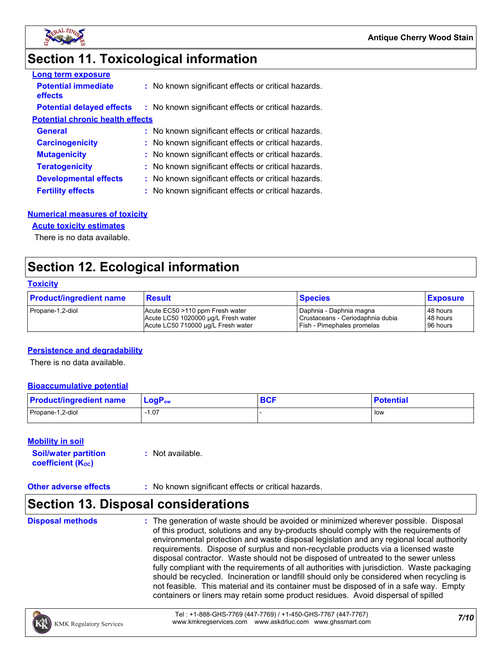

# **Section 11. Toxicological information**

| <b>Long term exposure</b>               |                                                     |
|-----------------------------------------|-----------------------------------------------------|
| <b>Potential immediate</b><br>effects   | : No known significant effects or critical hazards. |
| <b>Potential delayed effects</b>        | : No known significant effects or critical hazards. |
| <b>Potential chronic health effects</b> |                                                     |
| <b>General</b>                          | : No known significant effects or critical hazards. |
| <b>Carcinogenicity</b>                  | : No known significant effects or critical hazards. |
| <b>Mutagenicity</b>                     | : No known significant effects or critical hazards. |
| <b>Teratogenicity</b>                   | : No known significant effects or critical hazards. |
| <b>Developmental effects</b>            | : No known significant effects or critical hazards. |
| <b>Fertility effects</b>                | : No known significant effects or critical hazards. |

#### **Numerical measures of toxicity**

#### **Acute toxicity estimates**

There is no data available.

### **Section 12. Ecological information**

#### **Toxicity**

| <b>Product/ingredient name</b> | <b>Result</b>                       | <b>Species</b>                   | <b>Exposure</b> |
|--------------------------------|-------------------------------------|----------------------------------|-----------------|
| Propane-1,2-diol               | Acute EC50 >110 ppm Fresh water     | Daphnia - Daphnia magna          | 48 hours        |
|                                | Acute LC50 1020000 µg/L Fresh water | Crustaceans - Ceriodaphnia dubia | 48 hours        |
|                                | Acute LC50 710000 ug/L Fresh water  | Fish - Pimephales promelas       | 96 hours        |

#### **Persistence and degradability**

There is no data available.

#### **Bioaccumulative potential**

| <b>Product/ingredient name</b> | $LogPow$ | <b>DAC</b><br><b>DUI</b> | <b>Potential</b> |
|--------------------------------|----------|--------------------------|------------------|
| Propane-1,2-diol               | 07، ا    |                          | l low            |

#### **Mobility in soil**

| <b>Soil/water partition</b> | : Not available. |
|-----------------------------|------------------|
| <b>coefficient (Koc)</b>    |                  |

#### **Other adverse effects** : No known significant effects or critical hazards.

### **Section 13. Disposal considerations**

**Disposal methods :**

The generation of waste should be avoided or minimized wherever possible. Disposal of this product, solutions and any by-products should comply with the requirements of environmental protection and waste disposal legislation and any regional local authority requirements. Dispose of surplus and non-recyclable products via a licensed waste disposal contractor. Waste should not be disposed of untreated to the sewer unless fully compliant with the requirements of all authorities with jurisdiction. Waste packaging should be recycled. Incineration or landfill should only be considered when recycling is not feasible. This material and its container must be disposed of in a safe way. Empty containers or liners may retain some product residues. Avoid dispersal of spilled

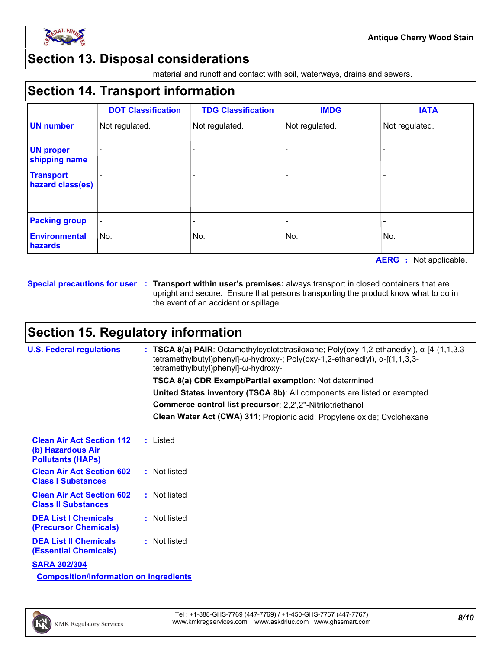

### **Section 13. Disposal considerations**

material and runoff and contact with soil, waterways, drains and sewers.

### **Section 14. Transport information**

|                                      | <b>DOT Classification</b> | <b>TDG Classification</b> | <b>IMDG</b>    | <b>IATA</b>    |
|--------------------------------------|---------------------------|---------------------------|----------------|----------------|
| <b>UN number</b>                     | Not regulated.            | Not regulated.            | Not regulated. | Not regulated. |
| <b>UN proper</b><br>shipping name    |                           |                           |                |                |
| <b>Transport</b><br>hazard class(es) |                           |                           |                |                |
| <b>Packing group</b>                 |                           |                           |                |                |
| <b>Environmental</b><br>hazards      | No.                       | No.                       | No.            | No.            |

**AERG :** Not applicable.

**Special precautions for user Transport within user's premises:** always transport in closed containers that are **:** upright and secure. Ensure that persons transporting the product know what to do in the event of an accident or spillage.

### **Section 15. Regulatory information**

| <b>U.S. Federal regulations</b>                                                   | : TSCA 8(a) PAIR: Octamethylcyclotetrasiloxane; Poly(oxy-1,2-ethanediyl), $\alpha$ -[4-(1,1,3,3-<br>tetramethylbutyl)phenyl]- $\omega$ -hydroxy-; Poly(oxy-1,2-ethanediyl), $\alpha$ -[(1,1,3,3-<br>tetramethylbutyl)phenyl]-ω-hydroxy- |
|-----------------------------------------------------------------------------------|-----------------------------------------------------------------------------------------------------------------------------------------------------------------------------------------------------------------------------------------|
|                                                                                   | <b>TSCA 8(a) CDR Exempt/Partial exemption: Not determined</b>                                                                                                                                                                           |
|                                                                                   | United States inventory (TSCA 8b): All components are listed or exempted.                                                                                                                                                               |
|                                                                                   | Commerce control list precursor: 2,2',2"-Nitrilotriethanol                                                                                                                                                                              |
|                                                                                   | Clean Water Act (CWA) 311: Propionic acid; Propylene oxide; Cyclohexane                                                                                                                                                                 |
| <b>Clean Air Act Section 112</b><br>(b) Hazardous Air<br><b>Pollutants (HAPs)</b> | : Listed                                                                                                                                                                                                                                |
| <b>Clean Air Act Section 602</b><br><b>Class I Substances</b>                     | : Not listed                                                                                                                                                                                                                            |
| <b>Clean Air Act Section 602</b><br><b>Class II Substances</b>                    | : Not listed                                                                                                                                                                                                                            |
| <b>DEA List I Chemicals</b><br><b>(Precursor Chemicals)</b>                       | : Not listed                                                                                                                                                                                                                            |
| <b>DEA List II Chemicals</b><br><b>(Essential Chemicals)</b>                      | : Not listed                                                                                                                                                                                                                            |
| <b>SARA 302/304</b>                                                               |                                                                                                                                                                                                                                         |
| <b>Composition/information on ingredients</b>                                     |                                                                                                                                                                                                                                         |

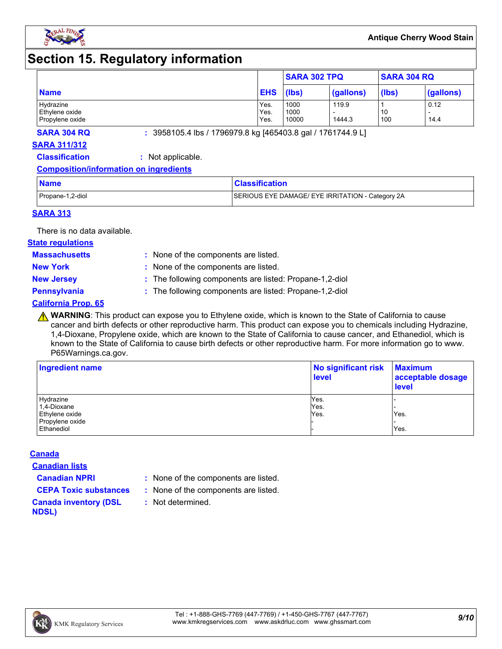

### **Section 15. Regulatory information**

|                             |              | <b>SARA 302 TPQ</b> |           | <b>SARA 304 RQ</b> |           |
|-----------------------------|--------------|---------------------|-----------|--------------------|-----------|
| <b>Name</b>                 | <b>EHS</b>   | (lbs)               | (gallons) | (lbs)              | (gallons) |
| Hydrazine<br>Ethylene oxide | Yes.<br>Yes. | 1000<br>1000        | 119.9     | 10                 | 0.12      |
| Propylene oxide             | Yes.         | 10000               | 1444.3    | 100                | 14.4      |

**SARA 304 RQ :** 3958105.4 lbs / 1796979.8 kg [465403.8 gal / 1761744.9 L]

#### **SARA 311/312**

**Classification :** Not applicable.

#### **Composition/information on ingredients**

| <b>Name</b>      | <b>Classification</b>                            |
|------------------|--------------------------------------------------|
| Propane-1,2-diol | SERIOUS EYE DAMAGE/ EYE IRRITATION - Category 2A |

#### **SARA 313**

There is no data available.

#### **State regulations**

**Massachusetts :**

- : None of the components are listed. **New York :** None of the components are listed.
- 
- **New Jersey :** The following components are listed: Propane-1,2-diol

**Pennsylvania :** The following components are listed: Propane-1,2-diol

#### **California Prop. 65**

**A WARNING**: This product can expose you to Ethylene oxide, which is known to the State of California to cause cancer and birth defects or other reproductive harm. This product can expose you to chemicals including Hydrazine, 1,4-Dioxane, Propylene oxide, which are known to the State of California to cause cancer, and Ethanediol, which is known to the State of California to cause birth defects or other reproductive harm. For more information go to www. P65Warnings.ca.gov.

| <b>Ingredient name</b> | No significant risk<br><b>level</b> | <b>Maximum</b><br>acceptable dosage<br><b>level</b> |  |
|------------------------|-------------------------------------|-----------------------------------------------------|--|
| Hydrazine              | Yes.                                |                                                     |  |
| 1,4-Dioxane            | Yes.                                |                                                     |  |
| Ethylene oxide         | Yes.                                | Yes.                                                |  |
| Propylene oxide        |                                     |                                                     |  |
| Ethanediol             |                                     | Yes.                                                |  |

#### **Canada**

**Canadian lists**

- **Canadian NPRI :** None of the components are listed.
- **CEPA Toxic substances :** None of the components are listed.
	- **:** Not determined.
- **Canada inventory (DSL NDSL)**